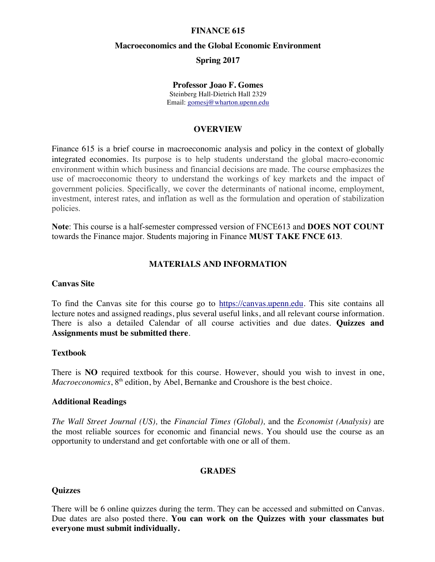### **FINANCE 615**

#### **Macroeconomics and the Global Economic Environment**

### **Spring 2017**

#### **Professor Joao F. Gomes**

Steinberg Hall-Dietrich Hall 2329 Email: gomesj@wharton.upenn.edu

### **OVERVIEW**

Finance 615 is a brief course in macroeconomic analysis and policy in the context of globally integrated economies. Its purpose is to help students understand the global macro-economic environment within which business and financial decisions are made. The course emphasizes the use of macroeconomic theory to understand the workings of key markets and the impact of government policies. Specifically, we cover the determinants of national income, employment, investment, interest rates, and inflation as well as the formulation and operation of stabilization policies.

**Note**: This course is a half-semester compressed version of FNCE613 and **DOES NOT COUNT** towards the Finance major. Students majoring in Finance **MUST TAKE FNCE 613**.

### **MATERIALS AND INFORMATION**

#### **Canvas Site**

To find the Canvas site for this course go to https://canvas.upenn.edu. This site contains all lecture notes and assigned readings, plus several useful links, and all relevant course information. There is also a detailed Calendar of all course activities and due dates. **Quizzes and Assignments must be submitted there**.

# **Textbook**

There is **NO** required textbook for this course. However, should you wish to invest in one, *Macroeconomics*, 8<sup>th</sup> edition, by Abel, Bernanke and Croushore is the best choice.

### **Additional Readings**

*The Wall Street Journal (US),* the *Financial Times (Global),* and the *Economist (Analysis)* are the most reliable sources for economic and financial news. You should use the course as an opportunity to understand and get confortable with one or all of them.

#### **GRADES**

#### **Quizzes**

There will be 6 online quizzes during the term. They can be accessed and submitted on Canvas. Due dates are also posted there. **You can work on the Quizzes with your classmates but everyone must submit individually.**